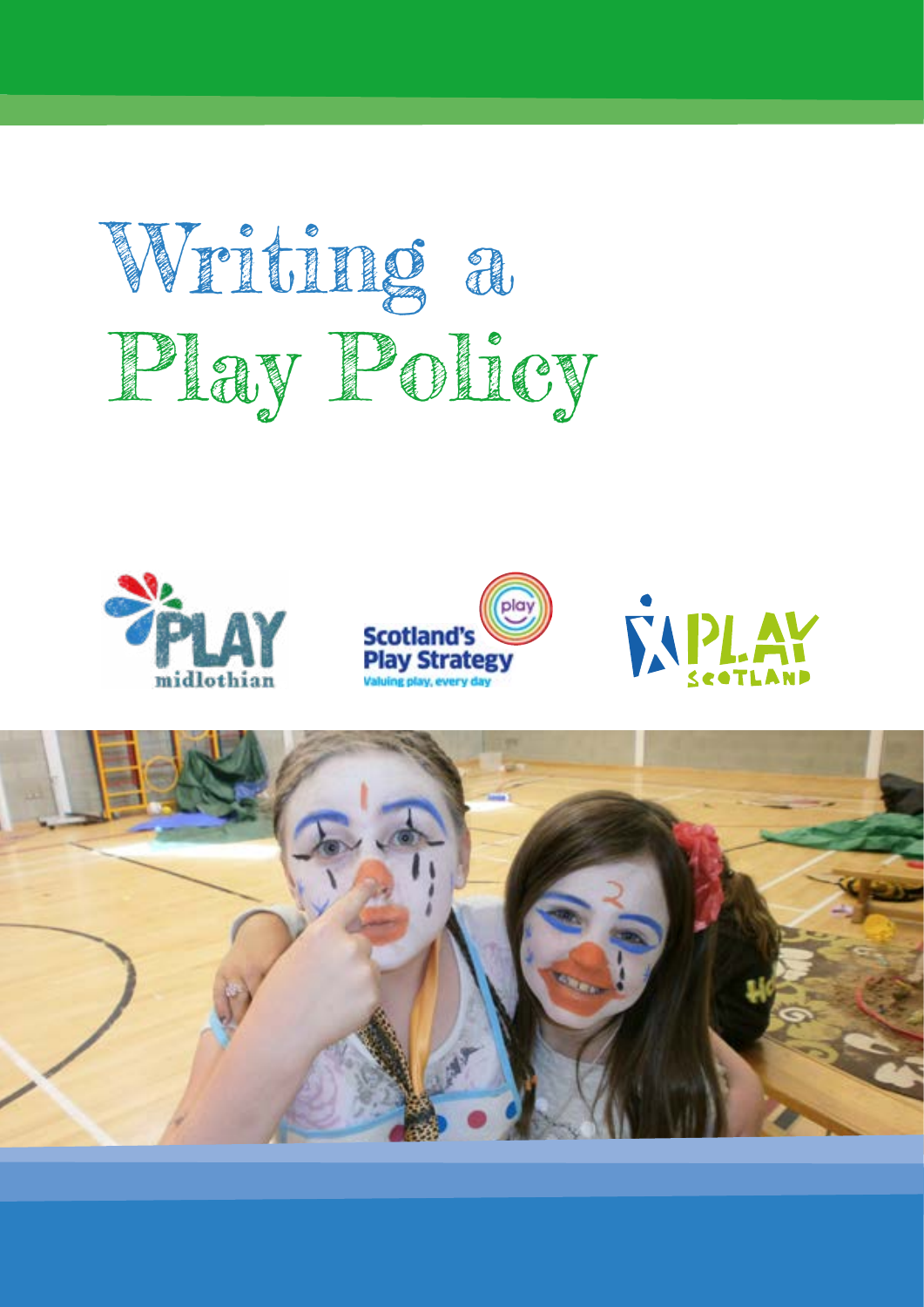







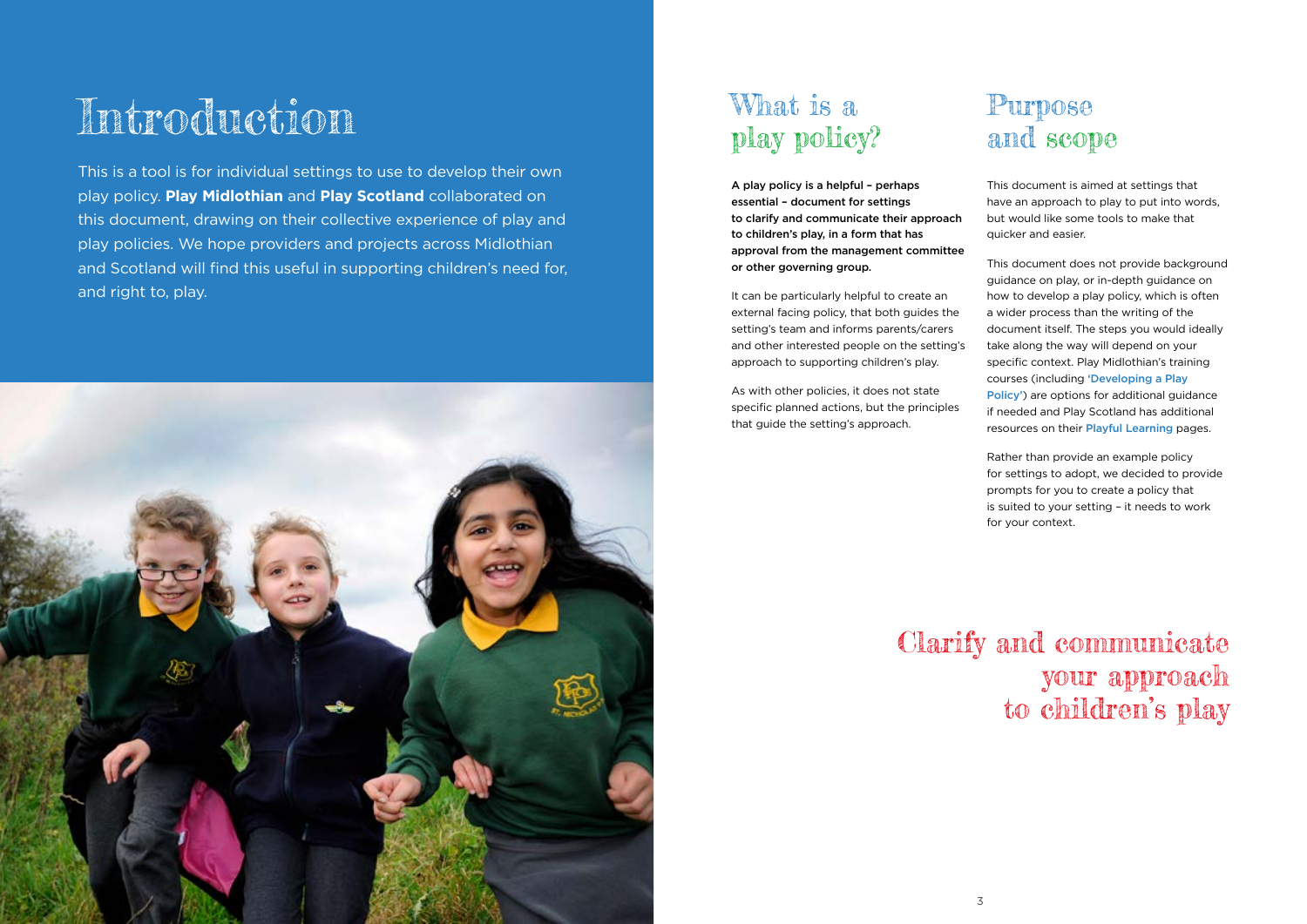# Introduction

This is a tool is for individual settings to use to develop their own play policy. **Play Midlothian** and **Play Scotland** collaborated on this document, drawing on their collective experience of play and play policies. We hope providers and projects across Midlothian and Scotland will find this useful in supporting children's need for, and right to, play.



## What is a play policy?

A play policy is a helpful – perhaps essential – document for settings to clarify and communicate their approach to children's play, in a form that has approval from the management committee or other governing group.

It can be particularly helpful to create an external facing policy, that both guides the setting's team and informs parents/carers and other interested people on the setting's approach to supporting children's play.

As with other policies, it does not state specific planned actions, but the principles that guide the setting's approach.

### Purpose and scope

This document is aimed at settings that have an approach to play to put into words, but would like some tools to make that quicker and easier.

This document does not provide background guidance on play, or in-depth guidance on how to develop a play policy, which is often a wider process than the writing of the document itself. The steps you would ideally take along the way will depend on your specific context. Play Midlothian's training courses (including 'Developing a Play Policy') are options for additional guidance if needed and Play Scotland has additional resources on their Playful Learning pages.

Rather than provide an example policy for settings to adopt, we decided to provide prompts for you to create a policy that is suited to your setting – it needs to work for your context.

Clarify and communicate your approach to children's play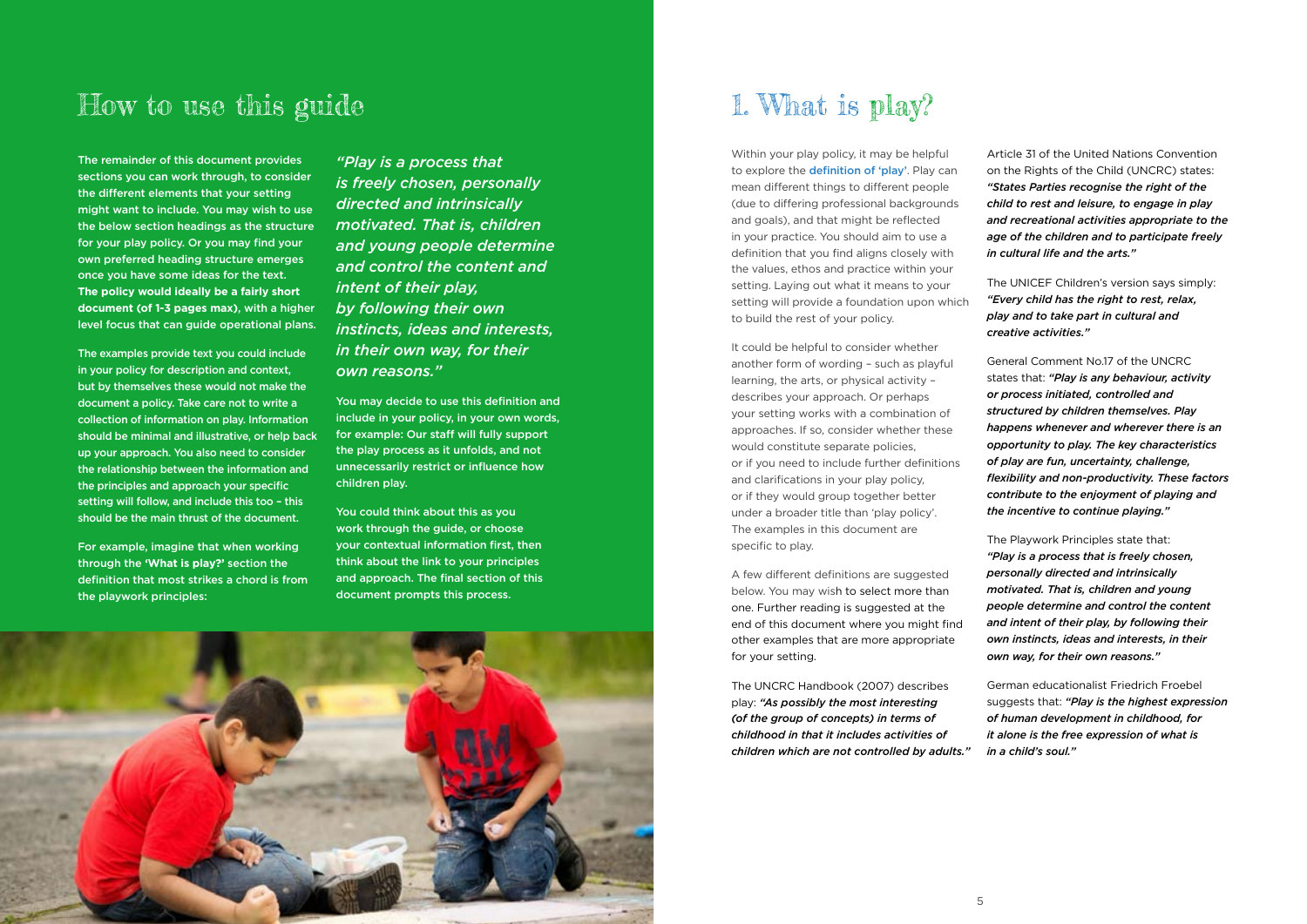

### How to use this guide 1. What is play?

The remainder of this document provides sections you can work through, to consider the different elements that your setting might want to include. You may wish to use the below section headings as the structure for your play policy. Or you may find your own preferred heading structure emerges once you have some ideas for the text. **The policy would ideally be a fairly short document (of 1-3 pages max)**, with a higher level focus that can guide operational plans.

The examples provide text you could include in your policy for description and context, but by themselves these would not make the document a policy. Take care not to write a collection of information on play. Information should be minimal and illustrative, or help back up your approach. You also need to consider the relationship between the information and the principles and approach your specific setting will follow, and include this too – this should be the main thrust of the document.

For example, imagine that when working through the **'What is play?'** section the definition that most strikes a chord is from the playwork principles:

Within your play policy, it may be helpful to explore the **definition of 'play'**. Play can mean different things to different people (due to differing professional backgrounds and goals), and that might be reflected in your practice. You should aim to use a definition that you find aligns closely with the values, ethos and practice within your setting. Laying out what it means to your setting will provide a foundation upon which to build the rest of your policy.

*"Play is a process that is freely chosen, personally directed and intrinsically motivated. That is, children and young people determine and control the content and intent of their play, by following their own instincts, ideas and interests, in their own way, for their own reasons."*

You may decide to use this definition and include in your policy, in your own words, for example: Our staff will fully support the play process as it unfolds, and not unnecessarily restrict or influence how children play.

You could think about this as you work through the guide, or choose your contextual information first, then think about the link to your principles and approach. The final section of this document prompts this process.

It could be helpful to consider whether another form of wording – such as playful learning, the arts, or physical activity – describes your approach. Or perhaps your setting works with a combination of approaches. If so, consider whether these would constitute separate policies, or if you need to include further definitions and clarifications in your play policy, or if they would group together better under a broader title than 'play policy'. The examples in this document are specific to play.

A few different definitions are suggested below. You may wish to select more than one. Further reading is suggested at the end of this document where you might find other examples that are more appropriate for your setting.

The UNCRC Handbook (2007) describes play: *"As possibly the most interesting (of the group of concepts) in terms of childhood in that it includes activities of children which are not controlled by adults."*

Article 31 of the United Nations Convention on the Rights of the Child (UNCRC) states: *"States Parties recognise the right of the child to rest and leisure, to engage in play and recreational activities appropriate to the age of the children and to participate freely in cultural life and the arts."*

The UNICEF Children's version says simply: *"Every child has the right to rest, relax, play and to take part in cultural and creative activities."*

General Comment No.17 of the UNCRC states that: *"Play is any behaviour, activity or process initiated, controlled and structured by children themselves. Play happens whenever and wherever there is an opportunity to play. The key characteristics of play are fun, uncertainty, challenge, flexibility and non-productivity. These factors contribute to the enjoyment of playing and the incentive to continue playing."*

The Playwork Principles state that: *"Play is a process that is freely chosen, personally directed and intrinsically motivated. That is, children and young people determine and control the content and intent of their play, by following their own instincts, ideas and interests, in their own way, for their own reasons."*

German educationalist Friedrich Froebel suggests that: *"Play is the highest expression of human development in childhood, for it alone is the free expression of what is in a child's soul."*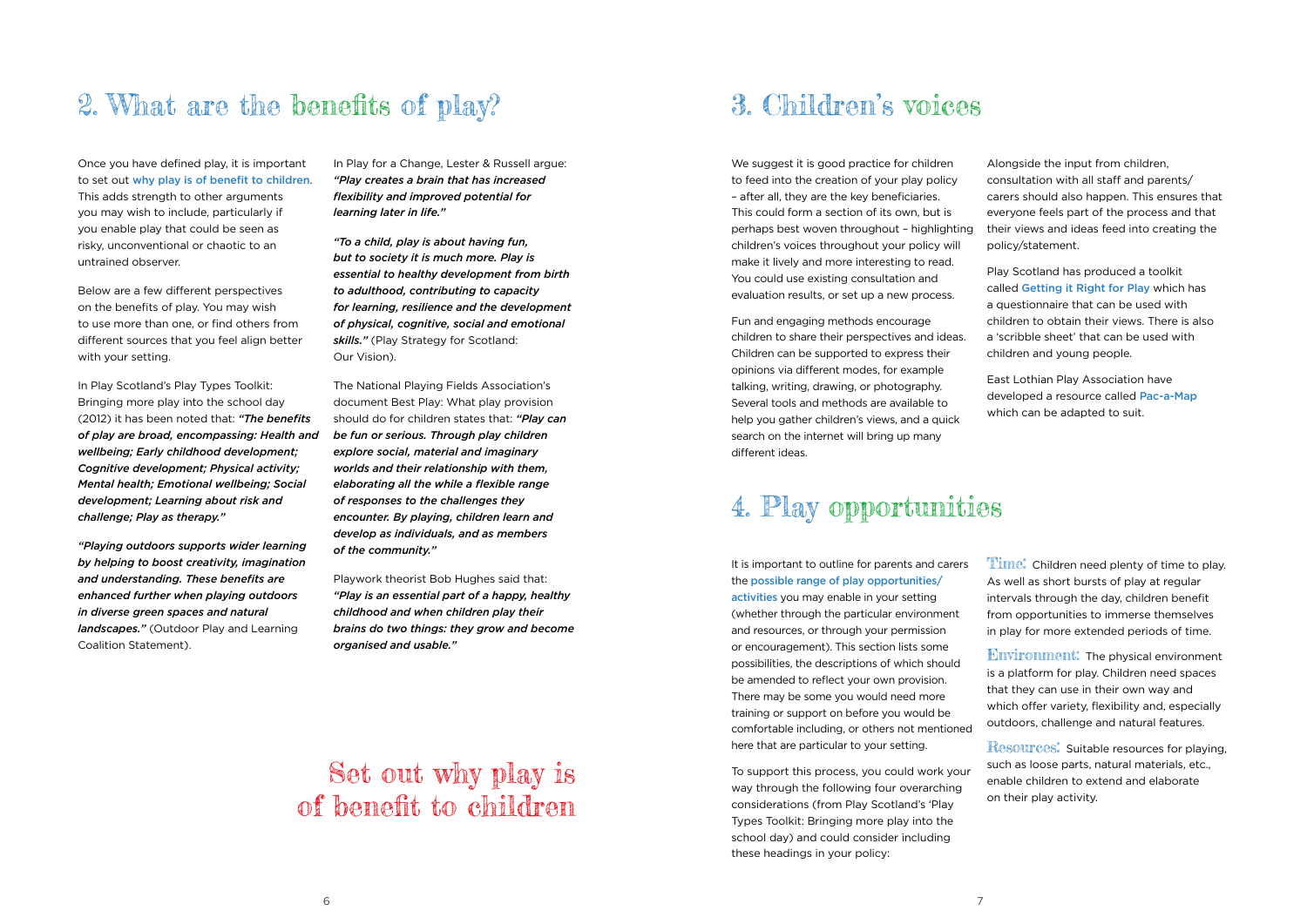### 2. What are the benefits of play? 3. Children's voices

Once you have defined play, it is important to set out why play is of benefit to children. This adds strength to other arguments you may wish to include, particularly if you enable play that could be seen as risky, unconventional or chaotic to an untrained observer.

Below are a few different perspectives on the benefits of play. You may wish to use more than one, or find others from different sources that you feel align better with your setting.

In Play Scotland's Play Types Toolkit: Bringing more play into the school day (2012) it has been noted that: *"The benefits of play are broad, encompassing: Health and wellbeing; Early childhood development; Cognitive development; Physical activity; Mental health; Emotional wellbeing; Social development; Learning about risk and challenge; Play as therapy."*

*"Playing outdoors supports wider learning by helping to boost creativity, imagination and understanding. These benefits are enhanced further when playing outdoors in diverse green spaces and natural landscapes."* (Outdoor Play and Learning Coalition Statement).

In Play for a Change, Lester & Russell argue: *"Play creates a brain that has increased flexibility and improved potential for learning later in life."*

*"To a child, play is about having fun, but to society it is much more. Play is essential to healthy development from birth to adulthood, contributing to capacity for learning, resilience and the development of physical, cognitive, social and emotional skills."* (Play Strategy for Scotland: Our Vision).

The National Playing Fields Association's document Best Play: What play provision should do for children states that: *"Play can be fun or serious. Through play children explore social, material and imaginary worlds and their relationship with them, elaborating all the while a flexible range of responses to the challenges they encounter. By playing, children learn and develop as individuals, and as members of the community."*

Playwork theorist Bob Hughes said that: *"Play is an essential part of a happy, healthy childhood and when children play their brains do two things: they grow and become organised and usable."*

**Time:** Children need plenty of time to play. As well as short bursts of play at regular intervals through the day, children benefit from opportunities to immerse themselves in play for more extended periods of time.

We suggest it is good practice for children to feed into the creation of your play policy – after all, they are the key beneficiaries. This could form a section of its own, but is perhaps best woven throughout – highlighting children's voices throughout your policy will make it lively and more interesting to read. You could use existing consultation and evaluation results, or set up a new process.

Fun and engaging methods encourage children to share their perspectives and ideas. Children can be supported to express their opinions via different modes, for example talking, writing, drawing, or photography. Several tools and methods are available to help you gather children's views, and a quick search on the internet will bring up many different ideas.

Alongside the input from children, consultation with all staff and parents/ carers should also happen. This ensures that everyone feels part of the process and that their views and ideas feed into creating the policy/statement.

Play Scotland has produced a toolkit called Getting it Right for Play which has a questionnaire that can be used with children to obtain their views. There is also a 'scribble sheet' that can be used with children and young people.

East Lothian Play Association have developed a resource called Pac-a-Map which can be adapted to suit.

It is important to outline for parents and carers the possible range of play opportunities/ activities you may enable in your setting (whether through the particular environment and resources, or through your permission or encouragement). This section lists some possibilities, the descriptions of which should be amended to reflect your own provision. There may be some you would need more training or support on before you would be comfortable including, or others not mentioned here that are particular to your setting.

To support this process, you could work your way through the following four overarching considerations (from Play Scotland's 'Play Types Toolkit: Bringing more play into the school day) and could consider including these headings in your policy:

## 4. Play opportunities

### Set out why play is of benefit to children

Environment: The physical environment is a platform for play. Children need spaces that they can use in their own way and which offer variety, flexibility and, especially outdoors, challenge and natural features.

Resources: Suitable resources for playing, such as loose parts, natural materials, etc., enable children to extend and elaborate on their play activity.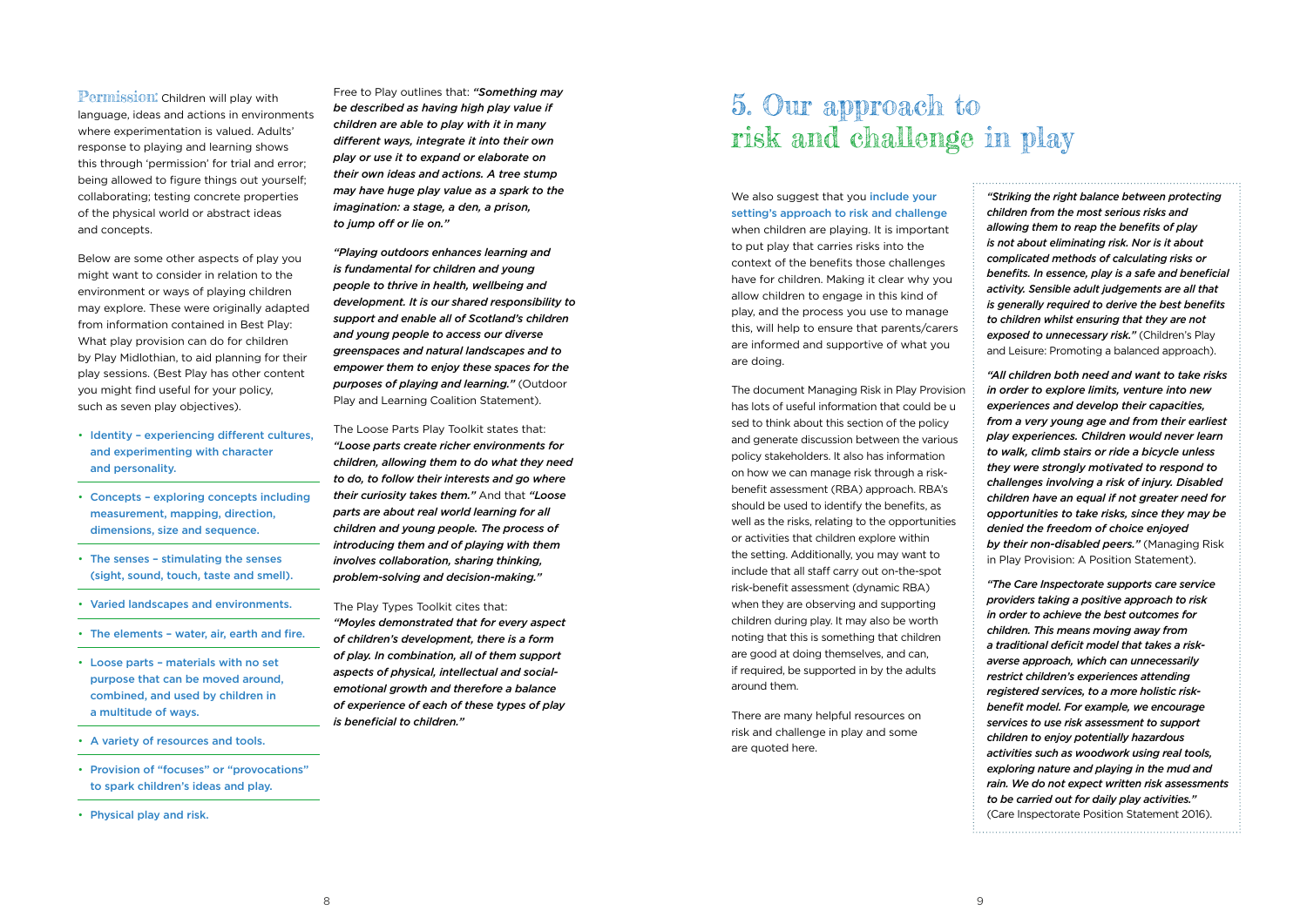### **Permission:** Children will play with

language, ideas and actions in environments where experimentation is valued. Adults' response to playing and learning shows this through 'permission' for trial and error; being allowed to figure things out yourself; collaborating; testing concrete properties of the physical world or abstract ideas and concepts.

Below are some other aspects of play you might want to consider in relation to the environment or ways of playing children may explore. These were originally adapted from information contained in Best Play: What play provision can do for children by Play Midlothian, to aid planning for their play sessions. (Best Play has other content you might find useful for your policy, such as seven play objectives).

- Identity experiencing different cultures, and experimenting with character and personality.
- Concepts exploring concepts including measurement, mapping, direction, dimensions, size and sequence.
- The senses stimulating the senses (sight, sound, touch, taste and smell).
- Varied landscapes and environments.
- The elements water, air, earth and fire.
- Loose parts materials with no set purpose that can be moved around, combined, and used by children in a multitude of ways.
- A variety of resources and tools.
- Provision of "focuses" or "provocations" to spark children's ideas and play.
- Physical play and risk.

Free to Play outlines that: *"Something may be described as having high play value if children are able to play with it in many different ways, integrate it into their own play or use it to expand or elaborate on their own ideas and actions. A tree stump may have huge play value as a spark to the imagination: a stage, a den, a prison, to jump off or lie on."*

We also suggest that you *include your* setting's approach to risk and challenge when children are playing. It is important to put play that carries risks into the context of the benefits those challenges have for children. Making it clear why you allow children to engage in this kind of play, and the process you use to manage this, will help to ensure that parents/carers are informed and supportive of what you are doing.

*"Playing outdoors enhances learning and is fundamental for children and young people to thrive in health, wellbeing and development. It is our shared responsibility to support and enable all of Scotland's children and young people to access our diverse greenspaces and natural landscapes and to empower them to enjoy these spaces for the purposes of playing and learning."* (Outdoor Play and Learning Coalition Statement).

The Loose Parts Play Toolkit states that: *"Loose parts create richer environments for children, allowing them to do what they need to do, to follow their interests and go where their curiosity takes them."* And that *"Loose parts are about real world learning for all children and young people. The process of introducing them and of playing with them involves collaboration, sharing thinking, problem-solving and decision-making."*

### The Play Types Toolkit cites that:

*"Moyles demonstrated that for every aspect of children's development, there is a form of play. In combination, all of them support aspects of physical, intellectual and socialemotional growth and therefore a balance of experience of each of these types of play is beneficial to children."*

The document Managing Risk in Play Provision has lots of useful information that could be u sed to think about this section of the policy and generate discussion between the various policy stakeholders. It also has information on how we can manage risk through a riskbenefit assessment (RBA) approach. RBA's should be used to identify the benefits, as well as the risks, relating to the opportunities or activities that children explore within the setting. Additionally, you may want to include that all staff carry out on-the-spot risk-benefit assessment (dynamic RBA) when they are observing and supporting children during play. It may also be worth noting that this is something that children are good at doing themselves, and can, if required, be supported in by the adults around them.

There are many helpful resources on risk and challenge in play and some are quoted here.

*"Striking the right balance between protecting children from the most serious risks and allowing them to reap the benefits of play is not about eliminating risk. Nor is it about complicated methods of calculating risks or benefits. In essence, play is a safe and beneficial activity. Sensible adult judgements are all that is generally required to derive the best benefits to children whilst ensuring that they are not exposed to unnecessary risk."* (Children's Play and Leisure: Promoting a balanced approach).

*"All children both need and want to take risks in order to explore limits, venture into new experiences and develop their capacities, from a very young age and from their earliest play experiences. Children would never learn to walk, climb stairs or ride a bicycle unless they were strongly motivated to respond to challenges involving a risk of injury. Disabled children have an equal if not greater need for opportunities to take risks, since they may be denied the freedom of choice enjoyed by their non-disabled peers."* (Managing Risk in Play Provision: A Position Statement).

*"The Care Inspectorate supports care service providers taking a positive approach to risk in order to achieve the best outcomes for children. This means moving away from a traditional deficit model that takes a riskaverse approach, which can unnecessarily restrict children's experiences attending registered services, to a more holistic riskbenefit model. For example, we encourage services to use risk assessment to support children to enjoy potentially hazardous activities such as woodwork using real tools, exploring nature and playing in the mud and rain. We do not expect written risk assessments to be carried out for daily play activities."* (Care Inspectorate Position Statement 2016).

### 5. Our approach to risk and challenge in play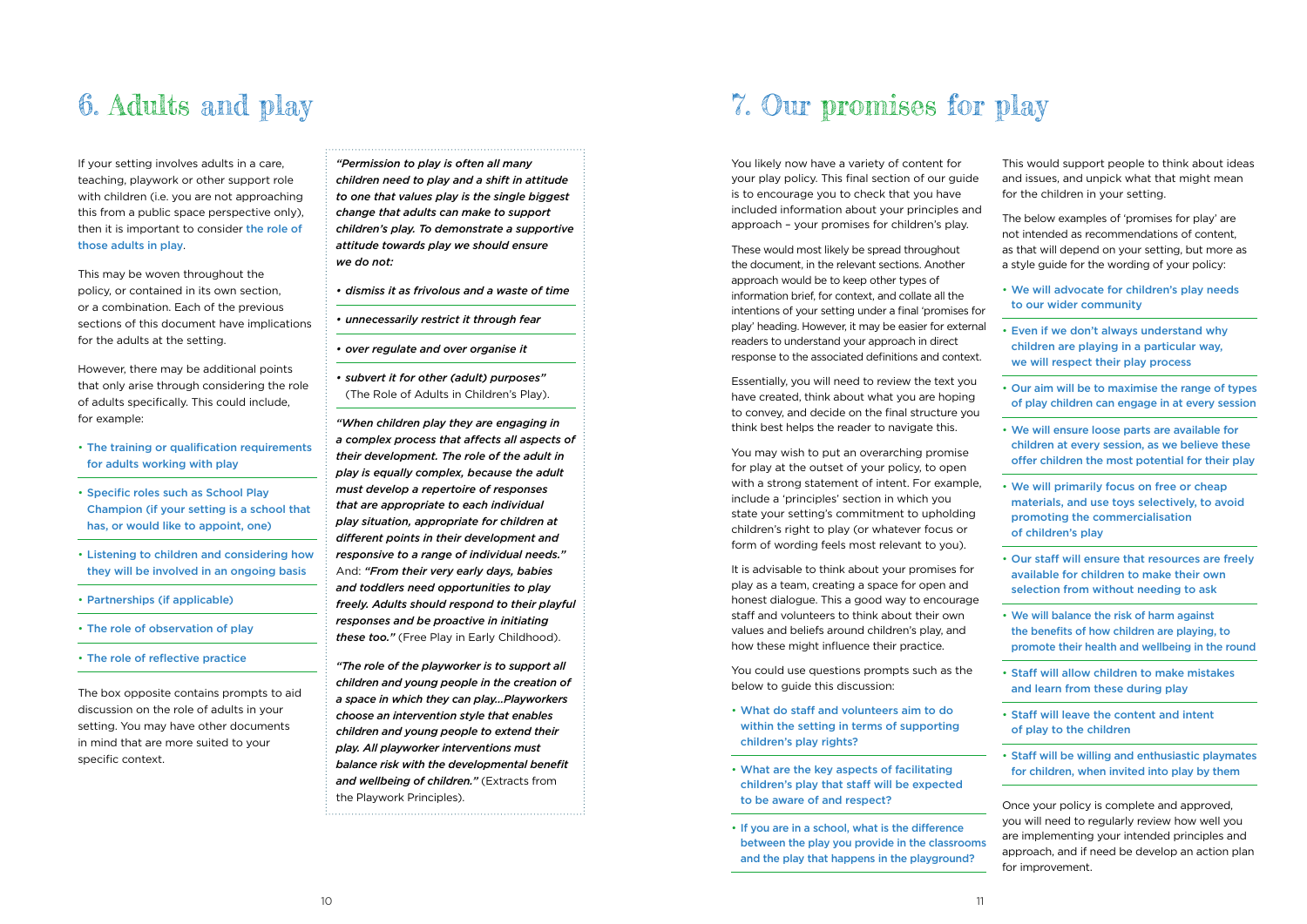You likely now have a variety of content for your play policy. This final section of our guide is to encourage you to check that you have included information about your principles and approach – your promises for children's play.

These would most likely be spread throughout the document, in the relevant sections. Another approach would be to keep other types of information brief, for context, and collate all the intentions of your setting under a final 'promises for play' heading. However, it may be easier for external readers to understand your approach in direct response to the associated definitions and context.

Essentially, you will need to review the text you have created, think about what you are hoping to convey, and decide on the final structure you think best helps the reader to navigate this.

You may wish to put an overarching promise for play at the outset of your policy, to open with a strong statement of intent. For example, include a 'principles' section in which you state your setting's commitment to upholding children's right to play (or whatever focus or form of wording feels most relevant to you).

It is advisable to think about your promises for play as a team, creating a space for open and honest dialogue. This a good way to encourage staff and volunteers to think about their own values and beliefs around children's play, and how these might influence their practice.

You could use questions prompts such as the below to guide this discussion:

- What do staff and volunteers aim to do within the setting in terms of supporting children's play rights?
- What are the key aspects of facilitating children's play that staff will be expected to be aware of and respect?
- If you are in a school, what is the difference between the play you provide in the classrooms and the play that happens in the playground?

This would support people to think about ideas and issues, and unpick what that might mean for the children in your setting.

The below examples of 'promises for play' are not intended as recommendations of content, as that will depend on your setting, but more as a style guide for the wording of your policy:

- We will advocate for children's play needs to our wider community
- Even if we don't always understand why children are playing in a particular way, we will respect their play process
- Our aim will be to maximise the range of types of play children can engage in at every session
- We will ensure loose parts are available for children at every session, as we believe these offer children the most potential for their play
- We will primarily focus on free or cheap materials, and use toys selectively, to avoid promoting the commercialisation of children's play
- Our staff will ensure that resources are freely available for children to make their own selection from without needing to ask
- We will balance the risk of harm against the benefits of how children are playing, to promote their health and wellbeing in the round
- Staff will allow children to make mistakes and learn from these during play
- Staff will leave the content and intent of play to the children
- Staff will be willing and enthusiastic playmates for children, when invited into play by them

Once your policy is complete and approved, you will need to regularly review how well you are implementing your intended principles and approach, and if need be develop an action plan for improvement.

If your setting involves adults in a care, teaching, playwork or other support role with children (i.e. you are not approaching this from a public space perspective only), then it is important to consider the role of those adults in play.

This may be woven throughout the policy, or contained in its own section, or a combination. Each of the previous sections of this document have implications for the adults at the setting.

However, there may be additional points that only arise through considering the role of adults specifically. This could include, for example:

- The training or qualification requirements for adults working with play
- Specific roles such as School Play Champion (if your setting is a school that has, or would like to appoint, one)
- Listening to children and considering how they will be involved in an ongoing basis
- Partnerships (if applicable)
- The role of observation of play
- The role of reflective practice

The box opposite contains prompts to aid discussion on the role of adults in your setting. You may have other documents in mind that are more suited to your specific context.

*"Permission to play is often all many children need to play and a shift in attitude to one that values play is the single biggest change that adults can make to support children's play. To demonstrate a supportive attitude towards play we should ensure we do not:*

- *• dismiss it as frivolous and a waste of time*
- *• unnecessarily restrict it through fear*
- *• over regulate and over organise it*
- *• subvert it for other (adult) purposes"*  (The Role of Adults in Children's Play).

*"When children play they are engaging in a complex process that affects all aspects of their development. The role of the adult in play is equally complex, because the adult must develop a repertoire of responses that are appropriate to each individual play situation, appropriate for children at different points in their development and responsive to a range of individual needs."* And: *"From their very early days, babies and toddlers need opportunities to play freely. Adults should respond to their playful responses and be proactive in initiating these too."* (Free Play in Early Childhood).

*"The role of the playworker is to support all children and young people in the creation of a space in which they can play…Playworkers choose an intervention style that enables children and young people to extend their play. All playworker interventions must balance risk with the developmental benefit and wellbeing of children."* (Extracts from the Playwork Principles).

## 6. Adults and play 7. Our promises for play